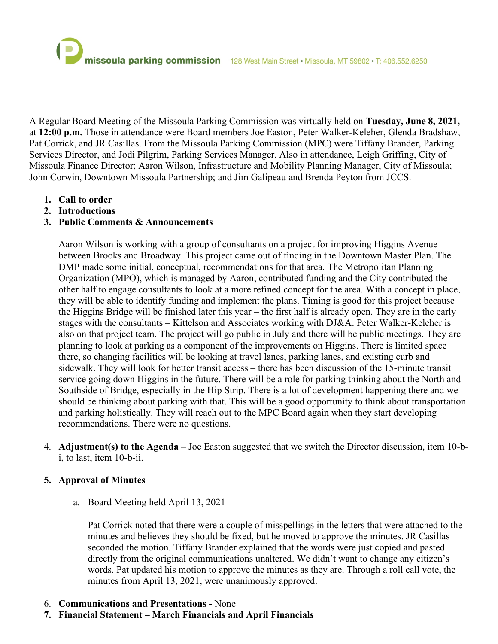A Regular Board Meeting of the Missoula Parking Commission was virtually held on **Tuesday, June 8, 2021,** at **12:00 p.m.** Those in attendance were Board members Joe Easton, Peter Walker-Keleher, Glenda Bradshaw, Pat Corrick, and JR Casillas. From the Missoula Parking Commission (MPC) were Tiffany Brander, Parking Services Director, and Jodi Pilgrim, Parking Services Manager. Also in attendance, Leigh Griffing, City of Missoula Finance Director; Aaron Wilson, Infrastructure and Mobility Planning Manager, City of Missoula; John Corwin, Downtown Missoula Partnership; and Jim Galipeau and Brenda Peyton from JCCS.

- **1. Call to order**
- **2. Introductions**

# **3. Public Comments & Announcements**

Aaron Wilson is working with a group of consultants on a project for improving Higgins Avenue between Brooks and Broadway. This project came out of finding in the Downtown Master Plan. The DMP made some initial, conceptual, recommendations for that area. The Metropolitan Planning Organization (MPO), which is managed by Aaron, contributed funding and the City contributed the other half to engage consultants to look at a more refined concept for the area. With a concept in place, they will be able to identify funding and implement the plans. Timing is good for this project because the Higgins Bridge will be finished later this year – the first half is already open. They are in the early stages with the consultants – Kittelson and Associates working with DJ&A. Peter Walker-Keleher is also on that project team. The project will go public in July and there will be public meetings. They are planning to look at parking as a component of the improvements on Higgins. There is limited space there, so changing facilities will be looking at travel lanes, parking lanes, and existing curb and sidewalk. They will look for better transit access – there has been discussion of the 15-minute transit service going down Higgins in the future. There will be a role for parking thinking about the North and Southside of Bridge, especially in the Hip Strip. There is a lot of development happening there and we should be thinking about parking with that. This will be a good opportunity to think about transportation and parking holistically. They will reach out to the MPC Board again when they start developing recommendations. There were no questions.

4. **Adjustment(s) to the Agenda –** Joe Easton suggested that we switch the Director discussion, item 10-bi, to last, item 10-b-ii.

## **5. Approval of Minutes**

a. Board Meeting held April 13, 2021

Pat Corrick noted that there were a couple of misspellings in the letters that were attached to the minutes and believes they should be fixed, but he moved to approve the minutes. JR Casillas seconded the motion. Tiffany Brander explained that the words were just copied and pasted directly from the original communications unaltered. We didn't want to change any citizen's words. Pat updated his motion to approve the minutes as they are. Through a roll call vote, the minutes from April 13, 2021, were unanimously approved.

- 6. **Communications and Presentations -** None
- **7. Financial Statement – March Financials and April Financials**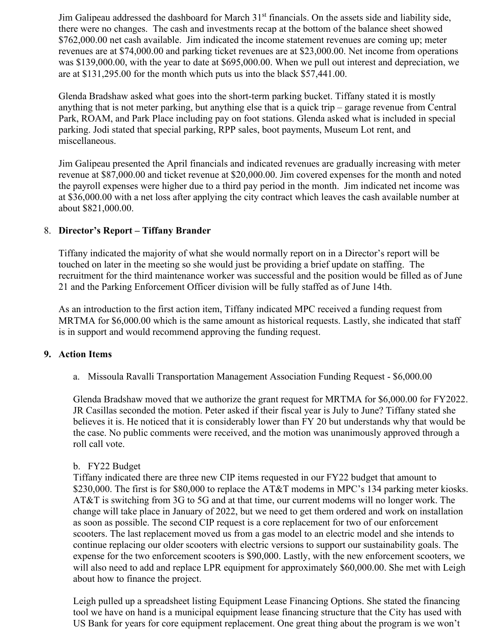Jim Galipeau addressed the dashboard for March 31<sup>st</sup> financials. On the assets side and liability side, there were no changes. The cash and investments recap at the bottom of the balance sheet showed \$762,000.00 net cash available. Jim indicated the income statement revenues are coming up; meter revenues are at \$74,000.00 and parking ticket revenues are at \$23,000.00. Net income from operations was \$139,000.00, with the year to date at \$695,000.00. When we pull out interest and depreciation, we are at \$131,295.00 for the month which puts us into the black \$57,441.00.

Glenda Bradshaw asked what goes into the short-term parking bucket. Tiffany stated it is mostly anything that is not meter parking, but anything else that is a quick trip – garage revenue from Central Park, ROAM, and Park Place including pay on foot stations. Glenda asked what is included in special parking. Jodi stated that special parking, RPP sales, boot payments, Museum Lot rent, and miscellaneous.

Jim Galipeau presented the April financials and indicated revenues are gradually increasing with meter revenue at \$87,000.00 and ticket revenue at \$20,000.00. Jim covered expenses for the month and noted the payroll expenses were higher due to a third pay period in the month. Jim indicated net income was at \$36,000.00 with a net loss after applying the city contract which leaves the cash available number at about \$821,000.00.

## 8. **Director's Report – Tiffany Brander**

Tiffany indicated the majority of what she would normally report on in a Director's report will be touched on later in the meeting so she would just be providing a brief update on staffing. The recruitment for the third maintenance worker was successful and the position would be filled as of June 21 and the Parking Enforcement Officer division will be fully staffed as of June 14th.

As an introduction to the first action item, Tiffany indicated MPC received a funding request from MRTMA for \$6,000.00 which is the same amount as historical requests. Lastly, she indicated that staff is in support and would recommend approving the funding request.

### **9. Action Items**

a. Missoula Ravalli Transportation Management Association Funding Request - \$6,000.00

Glenda Bradshaw moved that we authorize the grant request for MRTMA for \$6,000.00 for FY2022. JR Casillas seconded the motion. Peter asked if their fiscal year is July to June? Tiffany stated she believes it is. He noticed that it is considerably lower than FY 20 but understands why that would be the case. No public comments were received, and the motion was unanimously approved through a roll call vote.

#### b. FY22 Budget

Tiffany indicated there are three new CIP items requested in our FY22 budget that amount to \$230,000. The first is for \$80,000 to replace the AT&T modems in MPC's 134 parking meter kiosks. AT&T is switching from 3G to 5G and at that time, our current modems will no longer work. The change will take place in January of 2022, but we need to get them ordered and work on installation as soon as possible. The second CIP request is a core replacement for two of our enforcement scooters. The last replacement moved us from a gas model to an electric model and she intends to continue replacing our older scooters with electric versions to support our sustainability goals. The expense for the two enforcement scooters is \$90,000. Lastly, with the new enforcement scooters, we will also need to add and replace LPR equipment for approximately \$60,000.00. She met with Leigh about how to finance the project.

Leigh pulled up a spreadsheet listing Equipment Lease Financing Options. She stated the financing tool we have on hand is a municipal equipment lease financing structure that the City has used with US Bank for years for core equipment replacement. One great thing about the program is we won't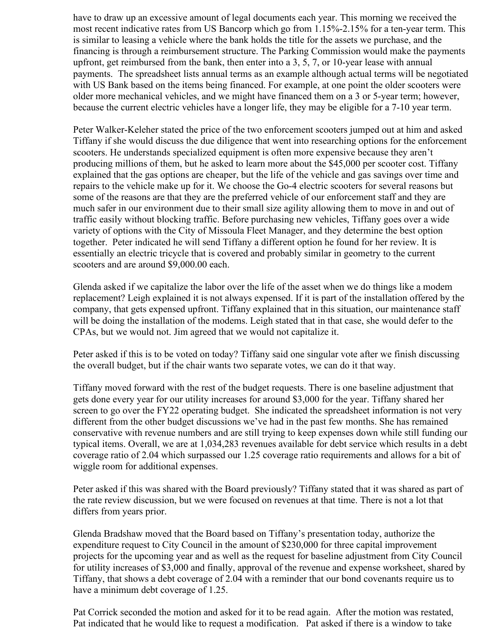have to draw up an excessive amount of legal documents each year. This morning we received the most recent indicative rates from US Bancorp which go from 1.15%-2.15% for a ten-year term. This is similar to leasing a vehicle where the bank holds the title for the assets we purchase, and the financing is through a reimbursement structure. The Parking Commission would make the payments upfront, get reimbursed from the bank, then enter into a 3, 5, 7, or 10-year lease with annual payments. The spreadsheet lists annual terms as an example although actual terms will be negotiated with US Bank based on the items being financed. For example, at one point the older scooters were older more mechanical vehicles, and we might have financed them on a 3 or 5-year term; however, because the current electric vehicles have a longer life, they may be eligible for a 7-10 year term.

Peter Walker-Keleher stated the price of the two enforcement scooters jumped out at him and asked Tiffany if she would discuss the due diligence that went into researching options for the enforcement scooters. He understands specialized equipment is often more expensive because they aren't producing millions of them, but he asked to learn more about the \$45,000 per scooter cost. Tiffany explained that the gas options are cheaper, but the life of the vehicle and gas savings over time and repairs to the vehicle make up for it. We choose the Go-4 electric scooters for several reasons but some of the reasons are that they are the preferred vehicle of our enforcement staff and they are much safer in our environment due to their small size agility allowing them to move in and out of traffic easily without blocking traffic. Before purchasing new vehicles, Tiffany goes over a wide variety of options with the City of Missoula Fleet Manager, and they determine the best option together. Peter indicated he will send Tiffany a different option he found for her review. It is essentially an electric tricycle that is covered and probably similar in geometry to the current scooters and are around \$9,000.00 each.

Glenda asked if we capitalize the labor over the life of the asset when we do things like a modem replacement? Leigh explained it is not always expensed. If it is part of the installation offered by the company, that gets expensed upfront. Tiffany explained that in this situation, our maintenance staff will be doing the installation of the modems. Leigh stated that in that case, she would defer to the CPAs, but we would not. Jim agreed that we would not capitalize it.

Peter asked if this is to be voted on today? Tiffany said one singular vote after we finish discussing the overall budget, but if the chair wants two separate votes, we can do it that way.

Tiffany moved forward with the rest of the budget requests. There is one baseline adjustment that gets done every year for our utility increases for around \$3,000 for the year. Tiffany shared her screen to go over the FY22 operating budget. She indicated the spreadsheet information is not very different from the other budget discussions we've had in the past few months. She has remained conservative with revenue numbers and are still trying to keep expenses down while still funding our typical items. Overall, we are at 1,034,283 revenues available for debt service which results in a debt coverage ratio of 2.04 which surpassed our 1.25 coverage ratio requirements and allows for a bit of wiggle room for additional expenses.

Peter asked if this was shared with the Board previously? Tiffany stated that it was shared as part of the rate review discussion, but we were focused on revenues at that time. There is not a lot that differs from years prior.

Glenda Bradshaw moved that the Board based on Tiffany's presentation today, authorize the expenditure request to City Council in the amount of \$230,000 for three capital improvement projects for the upcoming year and as well as the request for baseline adjustment from City Council for utility increases of \$3,000 and finally, approval of the revenue and expense worksheet, shared by Tiffany, that shows a debt coverage of 2.04 with a reminder that our bond covenants require us to have a minimum debt coverage of 1.25.

Pat Corrick seconded the motion and asked for it to be read again. After the motion was restated, Pat indicated that he would like to request a modification. Pat asked if there is a window to take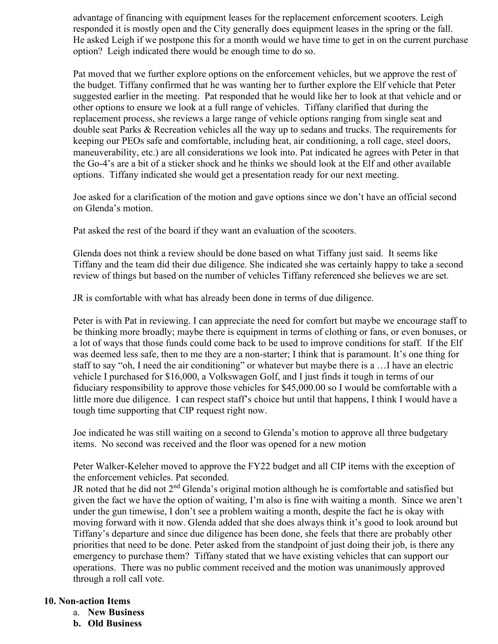advantage of financing with equipment leases for the replacement enforcement scooters. Leigh responded it is mostly open and the City generally does equipment leases in the spring or the fall. He asked Leigh if we postpone this for a month would we have time to get in on the current purchase option? Leigh indicated there would be enough time to do so.

Pat moved that we further explore options on the enforcement vehicles, but we approve the rest of the budget. Tiffany confirmed that he was wanting her to further explore the Elf vehicle that Peter suggested earlier in the meeting. Pat responded that he would like her to look at that vehicle and or other options to ensure we look at a full range of vehicles. Tiffany clarified that during the replacement process, she reviews a large range of vehicle options ranging from single seat and double seat Parks & Recreation vehicles all the way up to sedans and trucks. The requirements for keeping our PEOs safe and comfortable, including heat, air conditioning, a roll cage, steel doors, maneuverability, etc.) are all considerations we look into. Pat indicated he agrees with Peter in that the Go-4's are a bit of a sticker shock and he thinks we should look at the Elf and other available options. Tiffany indicated she would get a presentation ready for our next meeting.

Joe asked for a clarification of the motion and gave options since we don't have an official second on Glenda's motion.

Pat asked the rest of the board if they want an evaluation of the scooters.

Glenda does not think a review should be done based on what Tiffany just said. It seems like Tiffany and the team did their due diligence. She indicated she was certainly happy to take a second review of things but based on the number of vehicles Tiffany referenced she believes we are set.

JR is comfortable with what has already been done in terms of due diligence.

Peter is with Pat in reviewing. I can appreciate the need for comfort but maybe we encourage staff to be thinking more broadly; maybe there is equipment in terms of clothing or fans, or even bonuses, or a lot of ways that those funds could come back to be used to improve conditions for staff. If the Elf was deemed less safe, then to me they are a non-starter; I think that is paramount. It's one thing for staff to say "oh, I need the air conditioning" or whatever but maybe there is a …I have an electric vehicle I purchased for \$16,000, a Volkswagen Golf, and I just finds it tough in terms of our fiduciary responsibility to approve those vehicles for \$45,000.00 so I would be comfortable with a little more due diligence. I can respect staff's choice but until that happens, I think I would have a tough time supporting that CIP request right now.

Joe indicated he was still waiting on a second to Glenda's motion to approve all three budgetary items. No second was received and the floor was opened for a new motion

Peter Walker-Keleher moved to approve the FY22 budget and all CIP items with the exception of the enforcement vehicles. Pat seconded.

JR noted that he did not  $2<sup>nd</sup>$  Glenda's original motion although he is comfortable and satisfied but given the fact we have the option of waiting, I'm also is fine with waiting a month. Since we aren't under the gun timewise, I don't see a problem waiting a month, despite the fact he is okay with moving forward with it now. Glenda added that she does always think it's good to look around but Tiffany's departure and since due diligence has been done, she feels that there are probably other priorities that need to be done. Peter asked from the standpoint of just doing their job, is there any emergency to purchase them? Tiffany stated that we have existing vehicles that can support our operations. There was no public comment received and the motion was unanimously approved through a roll call vote.

### **10. Non-action Items**

- a. **New Business**
- **b. Old Business**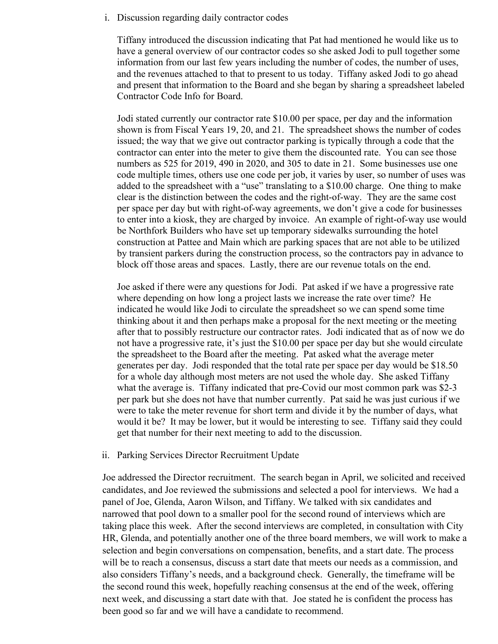i. Discussion regarding daily contractor codes

Tiffany introduced the discussion indicating that Pat had mentioned he would like us to have a general overview of our contractor codes so she asked Jodi to pull together some information from our last few years including the number of codes, the number of uses, and the revenues attached to that to present to us today. Tiffany asked Jodi to go ahead and present that information to the Board and she began by sharing a spreadsheet labeled Contractor Code Info for Board.

Jodi stated currently our contractor rate \$10.00 per space, per day and the information shown is from Fiscal Years 19, 20, and 21. The spreadsheet shows the number of codes issued; the way that we give out contractor parking is typically through a code that the contractor can enter into the meter to give them the discounted rate. You can see those numbers as 525 for 2019, 490 in 2020, and 305 to date in 21. Some businesses use one code multiple times, others use one code per job, it varies by user, so number of uses was added to the spreadsheet with a "use" translating to a \$10.00 charge. One thing to make clear is the distinction between the codes and the right-of-way. They are the same cost per space per day but with right-of-way agreements, we don't give a code for businesses to enter into a kiosk, they are charged by invoice. An example of right-of-way use would be Northfork Builders who have set up temporary sidewalks surrounding the hotel construction at Pattee and Main which are parking spaces that are not able to be utilized by transient parkers during the construction process, so the contractors pay in advance to block off those areas and spaces. Lastly, there are our revenue totals on the end.

Joe asked if there were any questions for Jodi. Pat asked if we have a progressive rate where depending on how long a project lasts we increase the rate over time? He indicated he would like Jodi to circulate the spreadsheet so we can spend some time thinking about it and then perhaps make a proposal for the next meeting or the meeting after that to possibly restructure our contractor rates. Jodi indicated that as of now we do not have a progressive rate, it's just the \$10.00 per space per day but she would circulate the spreadsheet to the Board after the meeting. Pat asked what the average meter generates per day. Jodi responded that the total rate per space per day would be \$18.50 for a whole day although most meters are not used the whole day. She asked Tiffany what the average is. Tiffany indicated that pre-Covid our most common park was \$2-3 per park but she does not have that number currently. Pat said he was just curious if we were to take the meter revenue for short term and divide it by the number of days, what would it be? It may be lower, but it would be interesting to see. Tiffany said they could get that number for their next meeting to add to the discussion.

#### ii. Parking Services Director Recruitment Update

Joe addressed the Director recruitment. The search began in April, we solicited and received candidates, and Joe reviewed the submissions and selected a pool for interviews. We had a panel of Joe, Glenda, Aaron Wilson, and Tiffany. We talked with six candidates and narrowed that pool down to a smaller pool for the second round of interviews which are taking place this week. After the second interviews are completed, in consultation with City HR, Glenda, and potentially another one of the three board members, we will work to make a selection and begin conversations on compensation, benefits, and a start date. The process will be to reach a consensus, discuss a start date that meets our needs as a commission, and also considers Tiffany's needs, and a background check. Generally, the timeframe will be the second round this week, hopefully reaching consensus at the end of the week, offering next week, and discussing a start date with that. Joe stated he is confident the process has been good so far and we will have a candidate to recommend.